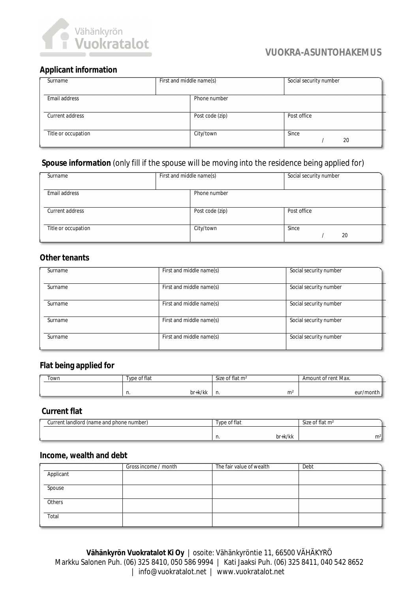

# **VUOKRA-ASUNTOHAKEMUS**

# **Applicant information**

| Surname             | First and middle name(s) | Social security number |
|---------------------|--------------------------|------------------------|
| Email address       | Phone number             |                        |
| Current address     | Post code (zip)          | Post office            |
| Title or occupation | City/town                | Since<br>20            |

# **Spouse information** (only fill if the spouse will be moving into the residence being applied for)

| Surname             | First and middle name(s) | Social security number |
|---------------------|--------------------------|------------------------|
| Email address       | Phone number             |                        |
| Current address     | Post code (zip)          | Post office            |
| Title or occupation | City/town                | Since<br>20            |

## **Other tenants**

| Surname | First and middle name(s) | Social security number |
|---------|--------------------------|------------------------|
|         |                          |                        |
| Surname | First and middle name(s) | Social security number |
|         |                          |                        |
| Surname | First and middle name(s) | Social security number |
|         |                          |                        |
| Surname | First and middle name(s) | Social security number |
|         |                          |                        |
| Surname | First and middle name(s) | Social security number |
|         |                          |                        |

## **Flat being applied for**

| Town | of flat<br>vne<br>וש | Size of flat m <sup>2</sup> | Amount of rent Max. |  |
|------|----------------------|-----------------------------|---------------------|--|
|      | 1/11<br>hr           | m <sup>2</sup>              | /mont<br>A⊔r        |  |
|      | 'N NN<br>וע<br>.     | .                           |                     |  |

## **Current flat**

| Current landlord (name and phone number) | of flat<br>vpe | Size of flat m <sup>2</sup> |
|------------------------------------------|----------------|-----------------------------|
|                                          | br+k/kk<br>.   | m <sup>2</sup>              |

#### **Income, wealth and debt**

|           | Gross income / month | The fair value of wealth | Debt |
|-----------|----------------------|--------------------------|------|
| Applicant |                      |                          |      |
| Spouse    |                      |                          |      |
| Others    |                      |                          |      |
| Total     |                      |                          |      |